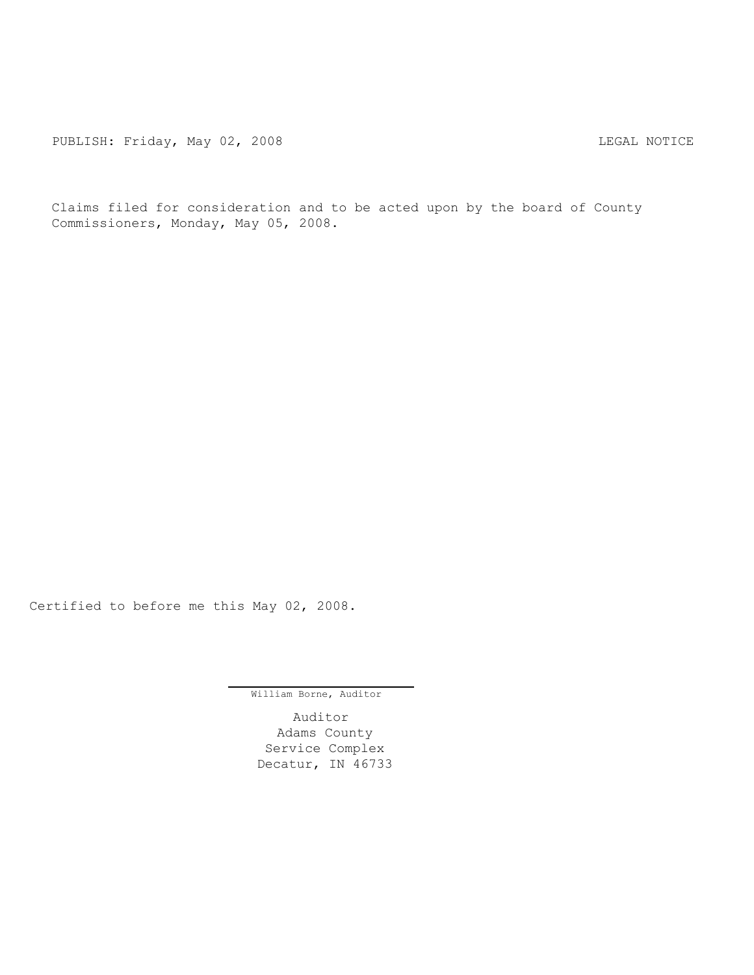PUBLISH: Friday, May 02, 2008 COMPRESS CONTROLLY AND THE MOTICE

Claims filed for consideration and to be acted upon by the board of County Commissioners, Monday, May 05, 2008.

Certified to before me this May 02, 2008.

William Borne, Auditor

Auditor Adams County Service Complex Decatur, IN 46733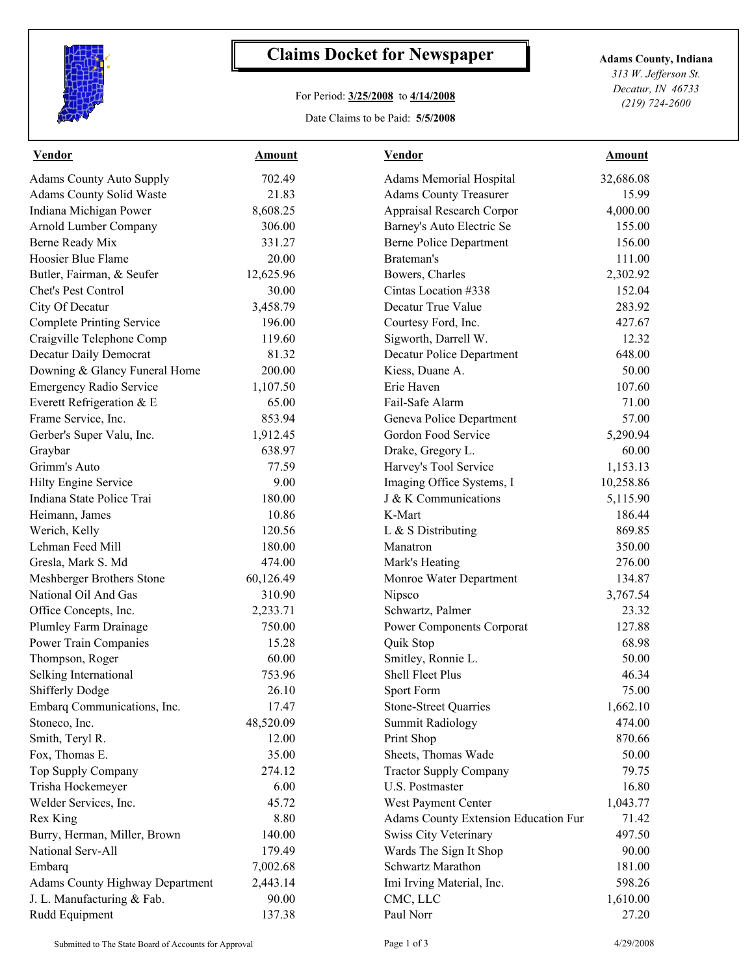

## **Claims Docket for Newspaper Adams County, Indiana**

## For Period: **3/25/2008** to **4/14/2008**

Date Claims to be Paid: **5/5/2008**

*313 W. Jefferson St. Decatur, IN 46733 (219) 724-2600*

| <b>Vendor</b>                          | <b>Amount</b> | <b>Vendor</b>                        | <b>Amount</b> |  |
|----------------------------------------|---------------|--------------------------------------|---------------|--|
| <b>Adams County Auto Supply</b>        | 702.49        | <b>Adams Memorial Hospital</b>       | 32,686.08     |  |
| Adams County Solid Waste               | 21.83         | <b>Adams County Treasurer</b>        | 15.99         |  |
| Indiana Michigan Power                 | 8,608.25      | Appraisal Research Corpor            | 4,000.00      |  |
| Arnold Lumber Company                  | 306.00        | Barney's Auto Electric Se            | 155.00        |  |
| Berne Ready Mix                        | 331.27        | <b>Berne Police Department</b>       | 156.00        |  |
| Hoosier Blue Flame                     | 20.00         | Brateman's                           | 111.00        |  |
| Butler, Fairman, & Seufer              | 12,625.96     | Bowers, Charles                      | 2,302.92      |  |
| Chet's Pest Control                    | 30.00         | Cintas Location #338                 | 152.04        |  |
| City Of Decatur                        | 3,458.79      | Decatur True Value                   | 283.92        |  |
| <b>Complete Printing Service</b>       | 196.00        | Courtesy Ford, Inc.                  | 427.67        |  |
| Craigville Telephone Comp              | 119.60        | Sigworth, Darrell W.                 | 12.32         |  |
| Decatur Daily Democrat                 | 81.32         | Decatur Police Department            | 648.00        |  |
| Downing & Glancy Funeral Home          | 200.00        | Kiess, Duane A.                      | 50.00         |  |
| <b>Emergency Radio Service</b>         | 1,107.50      | Erie Haven                           | 107.60        |  |
| Everett Refrigeration & E              | 65.00         | Fail-Safe Alarm                      | 71.00         |  |
| Frame Service, Inc.                    | 853.94        | Geneva Police Department             | 57.00         |  |
| Gerber's Super Valu, Inc.              | 1,912.45      | Gordon Food Service                  | 5,290.94      |  |
| Graybar                                | 638.97        | Drake, Gregory L.                    | 60.00         |  |
| Grimm's Auto                           | 77.59         | Harvey's Tool Service                | 1,153.13      |  |
| Hilty Engine Service                   | 9.00          | Imaging Office Systems, I            | 10,258.86     |  |
| Indiana State Police Trai              | 180.00        | J & K Communications                 | 5,115.90      |  |
| Heimann, James                         | 10.86         | K-Mart                               | 186.44        |  |
| Werich, Kelly                          | 120.56        | L & S Distributing                   | 869.85        |  |
| Lehman Feed Mill                       | 180.00        | Manatron                             | 350.00        |  |
| Gresla, Mark S. Md                     | 474.00        | Mark's Heating                       | 276.00        |  |
| Meshberger Brothers Stone              | 60,126.49     | Monroe Water Department              | 134.87        |  |
| National Oil And Gas                   | 310.90        | Nipsco                               | 3,767.54      |  |
| Office Concepts, Inc.                  | 2,233.71      | Schwartz, Palmer                     | 23.32         |  |
| Plumley Farm Drainage                  | 750.00        | Power Components Corporat            | 127.88        |  |
| Power Train Companies                  | 15.28         | Quik Stop                            | 68.98         |  |
| Thompson, Roger                        | 60.00         | Smitley, Ronnie L.                   | 50.00         |  |
| Selking International                  | 753.96        | Shell Fleet Plus                     | 46.34         |  |
| <b>Shifferly Dodge</b>                 | 26.10         | Sport Form                           | 75.00         |  |
| Embarq Communications, Inc.            | 17.47         | <b>Stone-Street Quarries</b>         | 1,662.10      |  |
| Stoneco, Inc.                          | 48,520.09     | <b>Summit Radiology</b>              | 474.00        |  |
| Smith, Teryl R.                        | 12.00         | Print Shop                           | 870.66        |  |
| Fox, Thomas E.                         | 35.00         | Sheets, Thomas Wade                  | 50.00         |  |
| Top Supply Company                     | 274.12        | <b>Tractor Supply Company</b>        | 79.75         |  |
| Trisha Hockemeyer                      | 6.00          | U.S. Postmaster                      | 16.80         |  |
| Welder Services, Inc.                  | 45.72         | West Payment Center                  | 1,043.77      |  |
| Rex King                               | 8.80          | Adams County Extension Education Fur | 71.42         |  |
| Burry, Herman, Miller, Brown           | 140.00        | Swiss City Veterinary                | 497.50        |  |
| National Serv-All                      | 179.49        | Wards The Sign It Shop               | 90.00         |  |
| Embarq                                 | 7,002.68      | Schwartz Marathon                    | 181.00        |  |
| <b>Adams County Highway Department</b> | 2,443.14      | Imi Irving Material, Inc.            | 598.26        |  |
| J. L. Manufacturing & Fab.             | 90.00         | CMC, LLC                             | 1,610.00      |  |
| Rudd Equipment                         | 137.38        | Paul Norr                            | 27.20         |  |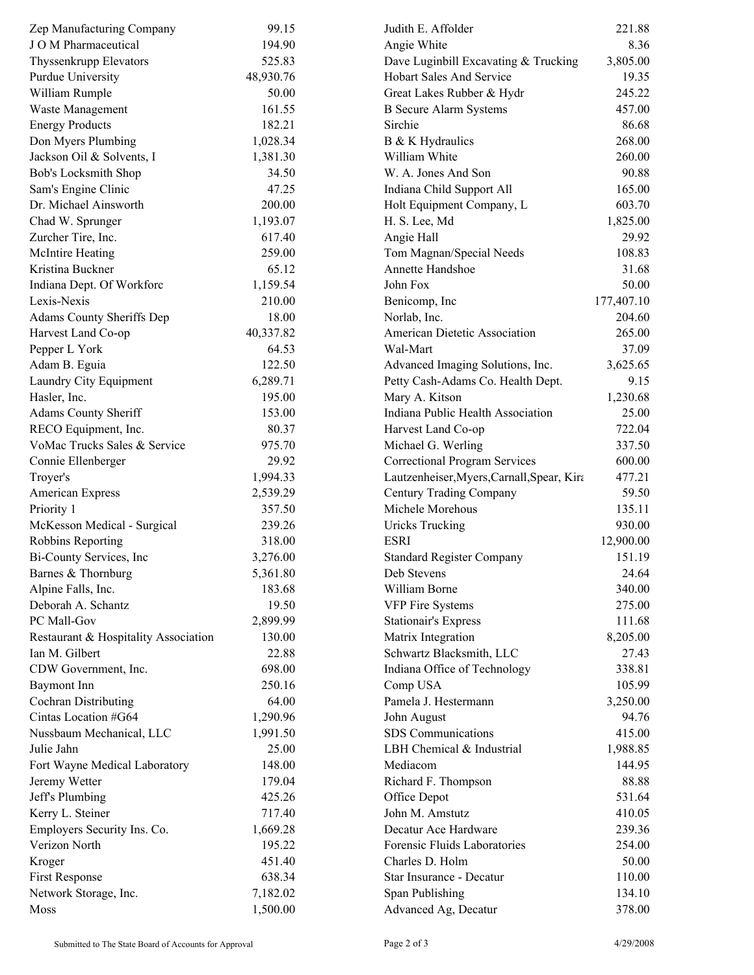| Zep Manufacturing Company            | 99.15     | Judith E. Affolder                         | 221.88     |
|--------------------------------------|-----------|--------------------------------------------|------------|
| J O M Pharmaceutical                 | 194.90    | Angie White                                | 8.36       |
| Thyssenkrupp Elevators               | 525.83    | Dave Luginbill Excavating & Trucking       | 3,805.00   |
| Purdue University                    | 48,930.76 | Hobart Sales And Service                   | 19.35      |
| William Rumple                       | 50.00     | Great Lakes Rubber & Hydr                  | 245.22     |
| Waste Management                     | 161.55    | <b>B</b> Secure Alarm Systems              | 457.00     |
| <b>Energy Products</b>               | 182.21    | Sirchie                                    | 86.68      |
| Don Myers Plumbing                   | 1,028.34  | B & K Hydraulics                           | 268.00     |
| Jackson Oil & Solvents, I            | 1,381.30  | William White                              | 260.00     |
| <b>Bob's Locksmith Shop</b>          | 34.50     | W. A. Jones And Son                        | 90.88      |
| Sam's Engine Clinic                  | 47.25     | Indiana Child Support All                  | 165.00     |
| Dr. Michael Ainsworth                | 200.00    | Holt Equipment Company, L                  | 603.70     |
| Chad W. Sprunger                     | 1,193.07  | H. S. Lee, Md                              | 1,825.00   |
| Zurcher Tire, Inc.                   | 617.40    | Angie Hall                                 | 29.92      |
| <b>McIntire Heating</b>              | 259.00    | Tom Magnan/Special Needs                   | 108.83     |
| Kristina Buckner                     | 65.12     | Annette Handshoe                           | 31.68      |
| Indiana Dept. Of Workforc            | 1,159.54  | John Fox                                   | 50.00      |
| Lexis-Nexis                          | 210.00    | Benicomp, Inc                              | 177,407.10 |
| Adams County Sheriffs Dep            | 18.00     | Norlab, Inc.                               | 204.60     |
| Harvest Land Co-op                   | 40,337.82 | American Dietetic Association              | 265.00     |
| Pepper L York                        | 64.53     | Wal-Mart                                   | 37.09      |
| Adam B. Eguia                        | 122.50    | Advanced Imaging Solutions, Inc.           | 3,625.65   |
| Laundry City Equipment               | 6,289.71  | Petty Cash-Adams Co. Health Dept.          | 9.15       |
| Hasler, Inc.                         | 195.00    | Mary A. Kitson                             | 1,230.68   |
| Adams County Sheriff                 | 153.00    | Indiana Public Health Association          | 25.00      |
| RECO Equipment, Inc.                 | 80.37     | Harvest Land Co-op                         | 722.04     |
| VoMac Trucks Sales & Service         | 975.70    | Michael G. Werling                         | 337.50     |
|                                      |           |                                            |            |
| Connie Ellenberger                   | 29.92     | <b>Correctional Program Services</b>       | 600.00     |
| Troyer's                             | 1,994.33  | Lautzenheiser, Myers, Carnall, Spear, Kira | 477.21     |
| American Express                     | 2,539.29  | Century Trading Company                    | 59.50      |
| Priority 1                           | 357.50    | Michele Morehous                           | 135.11     |
| McKesson Medical - Surgical          | 239.26    | <b>Uricks Trucking</b>                     | 930.00     |
| Robbins Reporting                    | 318.00    | <b>ESRI</b>                                | 12,900.00  |
| Bi-County Services, Inc              | 3,276.00  | <b>Standard Register Company</b>           | 151.19     |
| Barnes & Thornburg                   | 5,361.80  | Deb Stevens                                | 24.64      |
| Alpine Falls, Inc.                   | 183.68    | William Borne                              | 340.00     |
| Deborah A. Schantz                   | 19.50     | VFP Fire Systems                           | 275.00     |
| PC Mall-Gov                          | 2,899.99  | <b>Stationair's Express</b>                | 111.68     |
| Restaurant & Hospitality Association | 130.00    | Matrix Integration                         | 8,205.00   |
| Ian M. Gilbert                       | 22.88     | Schwartz Blacksmith, LLC                   | 27.43      |
| CDW Government, Inc.                 | 698.00    | Indiana Office of Technology               | 338.81     |
| <b>Baymont</b> Inn                   | 250.16    | Comp USA                                   | 105.99     |
| Cochran Distributing                 | 64.00     | Pamela J. Hestermann                       | 3,250.00   |
| Cintas Location #G64                 | 1,290.96  | John August                                | 94.76      |
| Nussbaum Mechanical, LLC             | 1,991.50  | SDS Communications                         | 415.00     |
| Julie Jahn                           | 25.00     | LBH Chemical & Industrial                  | 1,988.85   |
| Fort Wayne Medical Laboratory        | 148.00    | Mediacom                                   | 144.95     |
| Jeremy Wetter                        | 179.04    | Richard F. Thompson                        | 88.88      |
| Jeff's Plumbing                      | 425.26    | Office Depot                               | 531.64     |
| Kerry L. Steiner                     | 717.40    | John M. Amstutz                            | 410.05     |
| Employers Security Ins. Co.          | 1,669.28  | Decatur Ace Hardware                       | 239.36     |
| Verizon North                        | 195.22    | Forensic Fluids Laboratories               | 254.00     |
| Kroger                               | 451.40    | Charles D. Holm                            | 50.00      |
| <b>First Response</b>                | 638.34    | Star Insurance - Decatur                   | 110.00     |
| Network Storage, Inc.                | 7,182.02  | Span Publishing                            | 134.10     |
| Moss                                 | 1,500.00  | Advanced Ag, Decatur                       | 378.00     |